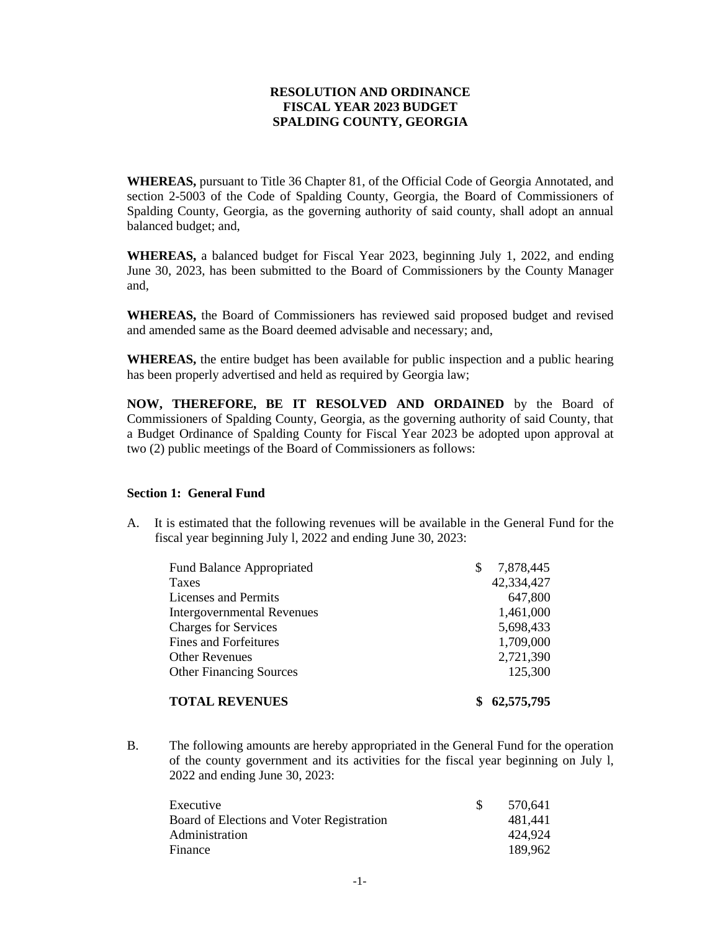# **RESOLUTION AND ORDINANCE FISCAL YEAR 2023 BUDGET SPALDING COUNTY, GEORGIA**

**WHEREAS,** pursuant to Title 36 Chapter 81, of the Official Code of Georgia Annotated, and section 2-5003 of the Code of Spalding County, Georgia, the Board of Commissioners of Spalding County, Georgia, as the governing authority of said county, shall adopt an annual balanced budget; and,

**WHEREAS,** a balanced budget for Fiscal Year 2023, beginning July 1, 2022, and ending June 30, 2023, has been submitted to the Board of Commissioners by the County Manager and,

**WHEREAS,** the Board of Commissioners has reviewed said proposed budget and revised and amended same as the Board deemed advisable and necessary; and,

**WHEREAS,** the entire budget has been available for public inspection and a public hearing has been properly advertised and held as required by Georgia law;

**NOW, THEREFORE, BE IT RESOLVED AND ORDAINED** by the Board of Commissioners of Spalding County, Georgia, as the governing authority of said County, that a Budget Ordinance of Spalding County for Fiscal Year 2023 be adopted upon approval at two (2) public meetings of the Board of Commissioners as follows:

## **Section 1: General Fund**

A. It is estimated that the following revenues will be available in the General Fund for the fiscal year beginning July l, 2022 and ending June 30, 2023:

| <b>Fund Balance Appropriated</b>  | S | 7,878,445  |
|-----------------------------------|---|------------|
| <b>Taxes</b>                      |   | 42,334,427 |
| Licenses and Permits              |   | 647,800    |
| <b>Intergovernmental Revenues</b> |   | 1,461,000  |
| <b>Charges for Services</b>       |   | 5,698,433  |
| <b>Fines and Forfeitures</b>      |   | 1,709,000  |
| <b>Other Revenues</b>             |   | 2,721,390  |
| <b>Other Financing Sources</b>    |   | 125,300    |
| <b>TOTAL REVENUES</b>             |   | 62,575,795 |

B. The following amounts are hereby appropriated in the General Fund for the operation of the county government and its activities for the fiscal year beginning on July l, 2022 and ending June 30, 2023:

| Executive                                 | 570.641 |
|-------------------------------------------|---------|
| Board of Elections and Voter Registration | 481.441 |
| Administration                            | 424.924 |
| Finance                                   | 189.962 |
|                                           |         |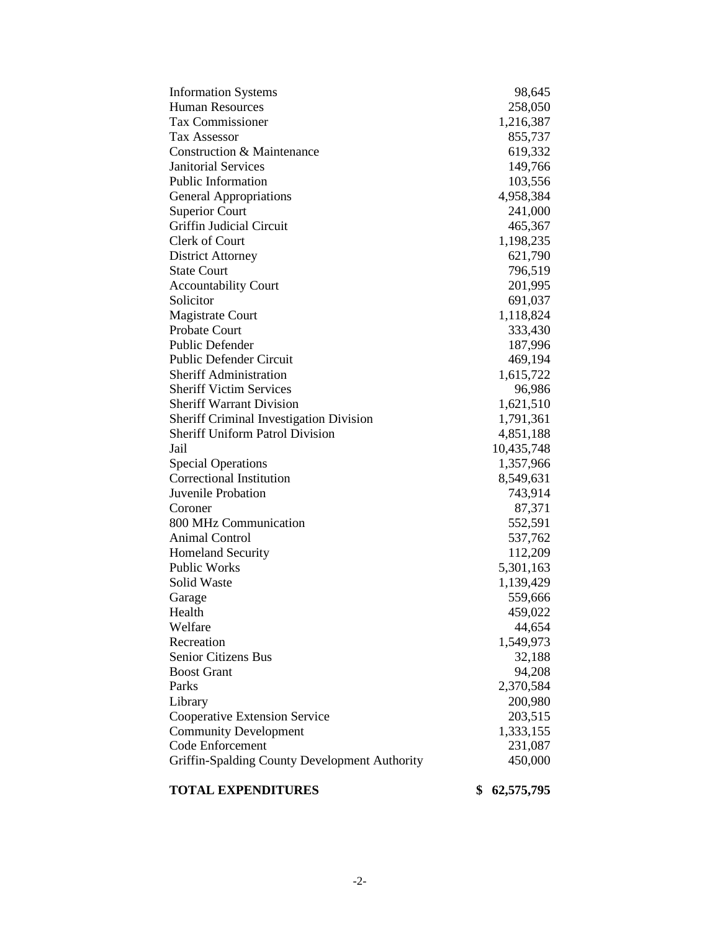| <b>Information Systems</b>                                                               | 98,645           |
|------------------------------------------------------------------------------------------|------------------|
| <b>Human Resources</b>                                                                   | 258,050          |
| <b>Tax Commissioner</b>                                                                  | 1,216,387        |
| <b>Tax Assessor</b>                                                                      | 855,737          |
| <b>Construction &amp; Maintenance</b>                                                    | 619,332          |
| <b>Janitorial Services</b>                                                               | 149,766          |
| <b>Public Information</b>                                                                | 103,556          |
| <b>General Appropriations</b>                                                            | 4,958,384        |
| <b>Superior Court</b>                                                                    | 241,000          |
| Griffin Judicial Circuit                                                                 | 465,367          |
| Clerk of Court                                                                           | 1,198,235        |
| <b>District Attorney</b>                                                                 | 621,790          |
| <b>State Court</b>                                                                       | 796,519          |
| <b>Accountability Court</b>                                                              | 201,995          |
| Solicitor                                                                                | 691,037          |
| <b>Magistrate Court</b>                                                                  | 1,118,824        |
| Probate Court                                                                            | 333,430          |
| <b>Public Defender</b>                                                                   | 187,996          |
| <b>Public Defender Circuit</b>                                                           | 469,194          |
| <b>Sheriff Administration</b>                                                            | 1,615,722        |
| <b>Sheriff Victim Services</b>                                                           | 96,986           |
| <b>Sheriff Warrant Division</b>                                                          | 1,621,510        |
|                                                                                          | 1,791,361        |
| <b>Sheriff Criminal Investigation Division</b><br><b>Sheriff Uniform Patrol Division</b> | 4,851,188        |
| Jail                                                                                     | 10,435,748       |
|                                                                                          |                  |
| <b>Special Operations</b><br>Correctional Institution                                    | 1,357,966        |
| Juvenile Probation                                                                       | 8,549,631        |
|                                                                                          | 743,914          |
| Coroner                                                                                  | 87,371           |
| 800 MHz Communication                                                                    | 552,591          |
| <b>Animal Control</b>                                                                    | 537,762          |
| <b>Homeland Security</b>                                                                 | 112,209          |
| Public Works                                                                             | 5,301,163        |
| Solid Waste                                                                              | 1,139,429        |
| Garage                                                                                   | 559,666          |
| Health                                                                                   | 459,022          |
| Welfare                                                                                  | 44,654           |
| Recreation                                                                               | 1,549,973        |
| Senior Citizens Bus                                                                      | 32,188           |
| <b>Boost Grant</b>                                                                       | 94,208           |
| Parks                                                                                    | 2,370,584        |
| Library                                                                                  | 200,980          |
| <b>Cooperative Extension Service</b>                                                     | 203,515          |
| <b>Community Development</b>                                                             | 1,333,155        |
| Code Enforcement                                                                         | 231,087          |
| Griffin-Spalding County Development Authority                                            | 450,000          |
| <b>TOTAL EXPENDITURES</b>                                                                | 62,575,795<br>\$ |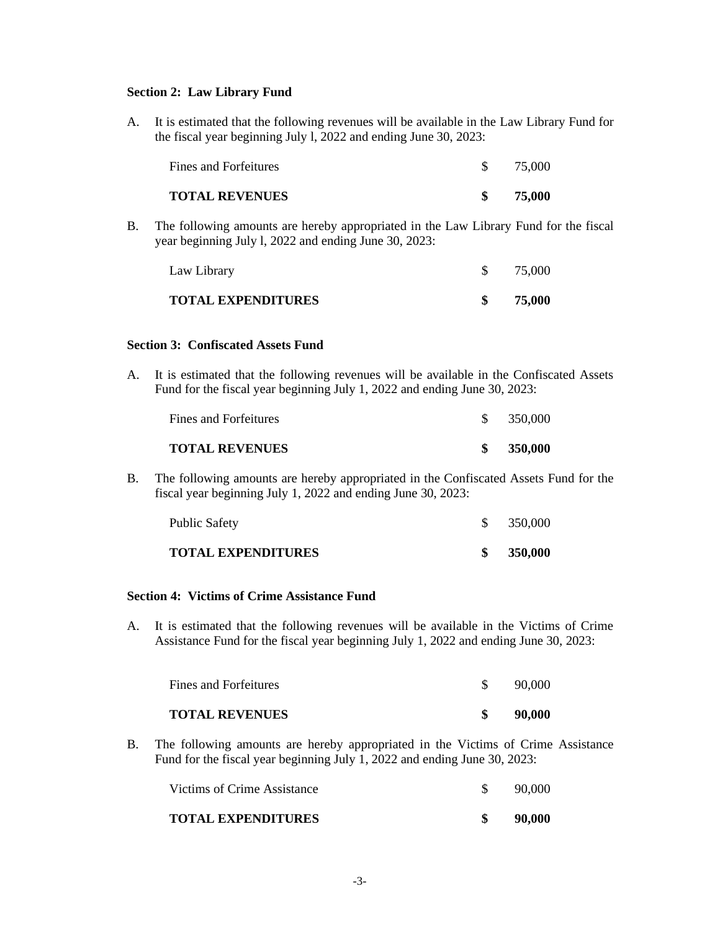# **Section 2: Law Library Fund**

A. It is estimated that the following revenues will be available in the Law Library Fund for the fiscal year beginning July l, 2022 and ending June 30, 2023:

| <b>TOTAL REVENUES</b> | 75,000 |
|-----------------------|--------|

B. The following amounts are hereby appropriated in the Law Library Fund for the fiscal year beginning July l, 2022 and ending June 30, 2023:

| <b>TOTAL EXPENDITURES</b> | 75,000 |
|---------------------------|--------|
|                           |        |
| Law Library               | 75,000 |

# **Section 3: Confiscated Assets Fund**

A. It is estimated that the following revenues will be available in the Confiscated Assets Fund for the fiscal year beginning July 1, 2022 and ending June 30, 2023:

| <b>TOTAL REVENUES</b> | 350,000 |
|-----------------------|---------|
| Fines and Forfeitures | 350,000 |

B. The following amounts are hereby appropriated in the Confiscated Assets Fund for the fiscal year beginning July 1, 2022 and ending June 30, 2023:

| Public Safety             | 350,000 |
|---------------------------|---------|
| <b>TOTAL EXPENDITURES</b> | 350,000 |

# **Section 4: Victims of Crime Assistance Fund**

A. It is estimated that the following revenues will be available in the Victims of Crime Assistance Fund for the fiscal year beginning July 1, 2022 and ending June 30, 2023:

| <b>TOTAL REVENUES</b> | 90,000 |
|-----------------------|--------|
| Fines and Forfeitures | 90,000 |

B. The following amounts are hereby appropriated in the Victims of Crime Assistance Fund for the fiscal year beginning July 1, 2022 and ending June 30, 2023:

| <b>TOTAL EXPENDITURES</b>   | 90,000 |
|-----------------------------|--------|
| Victims of Crime Assistance | 90.000 |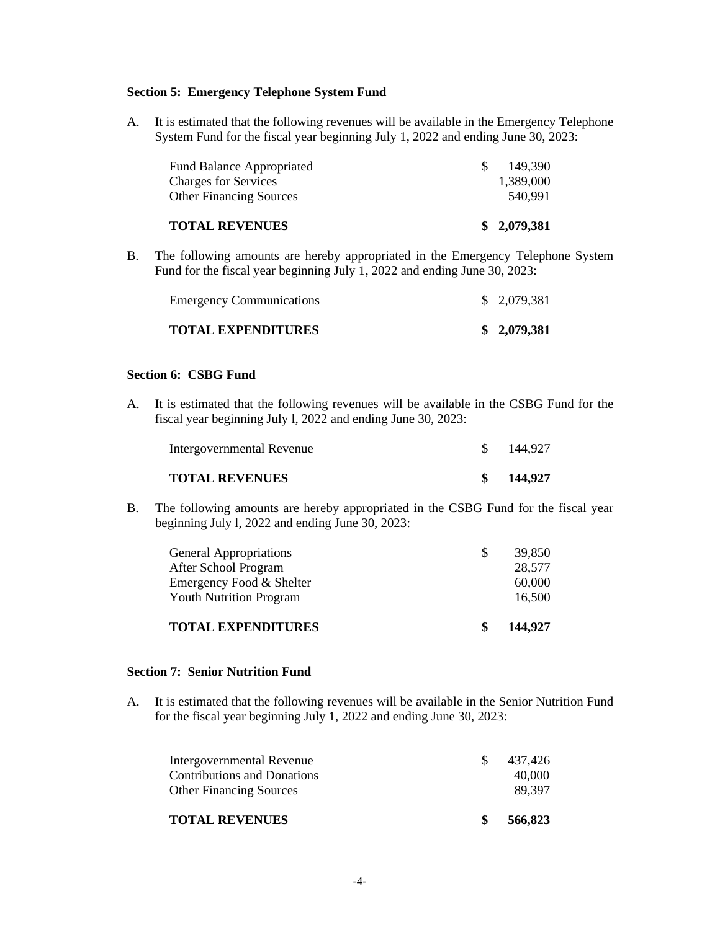# **Section 5: Emergency Telephone System Fund**

A. It is estimated that the following revenues will be available in the Emergency Telephone System Fund for the fiscal year beginning July 1, 2022 and ending June 30, 2023:

| <b>TOTAL REVENUES</b>            | \$2,079,381 |
|----------------------------------|-------------|
| <b>Other Financing Sources</b>   | 540.991     |
| <b>Charges for Services</b>      | 1.389.000   |
| <b>Fund Balance Appropriated</b> | 149.390     |

B. The following amounts are hereby appropriated in the Emergency Telephone System Fund for the fiscal year beginning July 1, 2022 and ending June 30, 2023:

| <b>TOTAL EXPENDITURES</b>       | \$2,079,381 |
|---------------------------------|-------------|
| <b>Emergency Communications</b> | \$2,079,381 |

# **Section 6: CSBG Fund**

A. It is estimated that the following revenues will be available in the CSBG Fund for the fiscal year beginning July l, 2022 and ending June 30, 2023:

| <b>TOTAL REVENUES</b>     | 144,927 |
|---------------------------|---------|
| Intergovernmental Revenue | 144,927 |

B. The following amounts are hereby appropriated in the CSBG Fund for the fiscal year beginning July l, 2022 and ending June 30, 2023:

| <b>TOTAL EXPENDITURES</b>      | \$. | 144,927 |
|--------------------------------|-----|---------|
| <b>Youth Nutrition Program</b> |     | 16,500  |
| Emergency Food & Shelter       |     | 60,000  |
| After School Program           |     | 28,577  |
| <b>General Appropriations</b>  |     | 39,850  |

# **Section 7: Senior Nutrition Fund**

A. It is estimated that the following revenues will be available in the Senior Nutrition Fund for the fiscal year beginning July 1, 2022 and ending June 30, 2023:

| <b>TOTAL REVENUES</b>            | \$  | 566,823 |
|----------------------------------|-----|---------|
| <b>Other Financing Sources</b>   |     | 89.397  |
| Contributions and Donations      |     | 40,000  |
| <b>Intergovernmental Revenue</b> | SS. | 437.426 |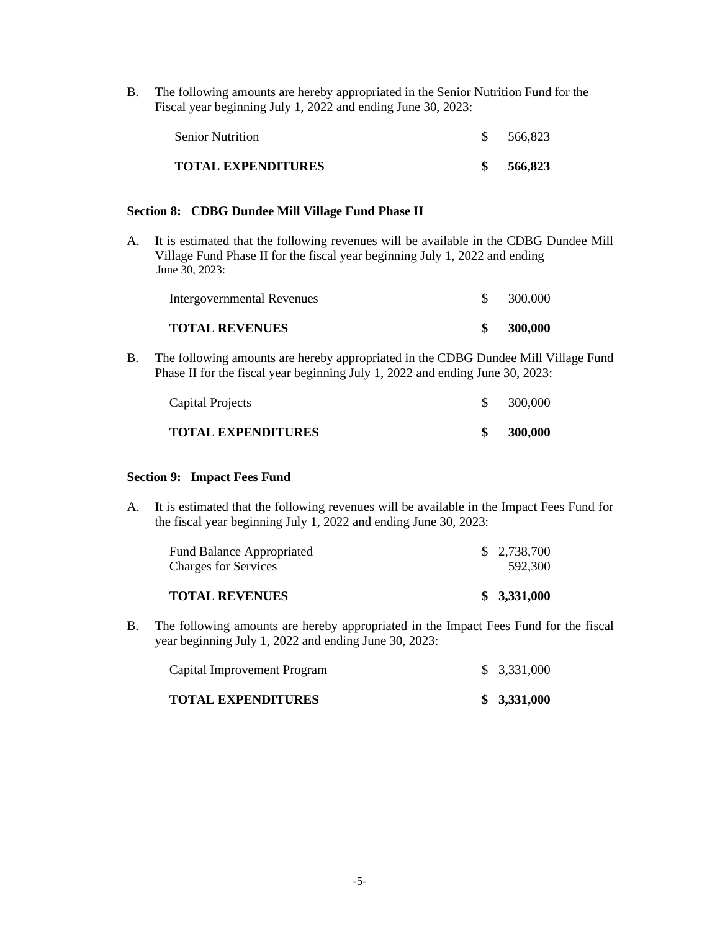B. The following amounts are hereby appropriated in the Senior Nutrition Fund for the Fiscal year beginning July 1, 2022 and ending June 30, 2023:

| <b>Senior Nutrition</b>   | 566.823 |
|---------------------------|---------|
| <b>TOTAL EXPENDITURES</b> | 566.823 |

#### **Section 8: CDBG Dundee Mill Village Fund Phase II**

A. It is estimated that the following revenues will be available in the CDBG Dundee Mill Village Fund Phase II for the fiscal year beginning July 1, 2022 and ending June 30, 2023:

| <b>TOTAL REVENUES</b>      | 300,000 |
|----------------------------|---------|
| Intergovernmental Revenues | 300,000 |

B. The following amounts are hereby appropriated in the CDBG Dundee Mill Village Fund Phase II for the fiscal year beginning July 1, 2022 and ending June 30, 2023:

| <b>TOTAL EXPENDITURES</b> | 300,000 |
|---------------------------|---------|
| Capital Projects          | 300.000 |

## **Section 9: Impact Fees Fund**

A. It is estimated that the following revenues will be available in the Impact Fees Fund for the fiscal year beginning July 1, 2022 and ending June 30, 2023:

| <b>TOTAL REVENUES</b>            | \$3,331,000 |
|----------------------------------|-------------|
| <b>Charges for Services</b>      | 592.300     |
| <b>Fund Balance Appropriated</b> | \$2,738,700 |

B. The following amounts are hereby appropriated in the Impact Fees Fund for the fiscal year beginning July 1, 2022 and ending June 30, 2023:

| <b>TOTAL EXPENDITURES</b>   | \$3,331,000 |
|-----------------------------|-------------|
| Capital Improvement Program | \$3,331,000 |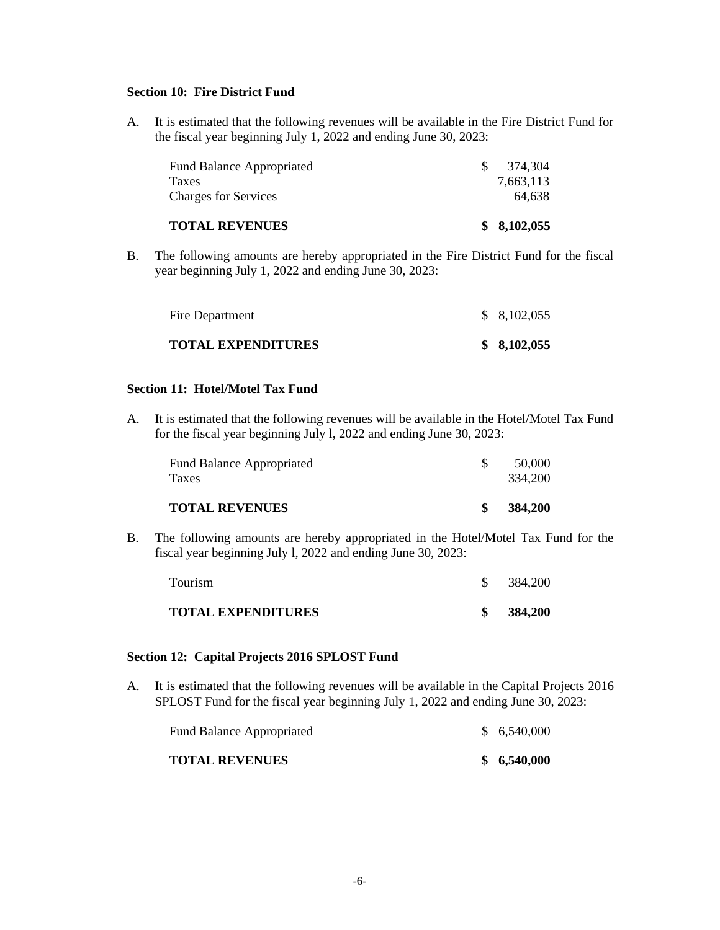# **Section 10: Fire District Fund**

A. It is estimated that the following revenues will be available in the Fire District Fund for the fiscal year beginning July 1, 2022 and ending June 30, 2023:

| <b>TOTAL REVENUES</b>            |     | \$8,102,055 |
|----------------------------------|-----|-------------|
| <b>Charges for Services</b>      |     | 64.638      |
| <b>Taxes</b>                     |     | 7,663,113   |
| <b>Fund Balance Appropriated</b> | SS. | 374.304     |

B. The following amounts are hereby appropriated in the Fire District Fund for the fiscal year beginning July 1, 2022 and ending June 30, 2023:

| Fire Department           | \$8,102,055 |
|---------------------------|-------------|
| <b>TOTAL EXPENDITURES</b> | \$8,102,055 |

# **Section 11: Hotel/Motel Tax Fund**

A. It is estimated that the following revenues will be available in the Hotel/Motel Tax Fund for the fiscal year beginning July l, 2022 and ending June 30, 2023:

| <b>TOTAL REVENUES</b>                            | 384,200           |
|--------------------------------------------------|-------------------|
| <b>Fund Balance Appropriated</b><br><b>Taxes</b> | 50.000<br>334,200 |

B. The following amounts are hereby appropriated in the Hotel/Motel Tax Fund for the fiscal year beginning July l, 2022 and ending June 30, 2023:

| <b>TOTAL EXPENDITURES</b> | 384,200 |
|---------------------------|---------|
| Tourism                   | 384,200 |

# **Section 12: Capital Projects 2016 SPLOST Fund**

A. It is estimated that the following revenues will be available in the Capital Projects 2016 SPLOST Fund for the fiscal year beginning July 1, 2022 and ending June 30, 2023:

| <b>TOTAL REVENUES</b>            | \$6,540,000 |
|----------------------------------|-------------|
| <b>Fund Balance Appropriated</b> | \$6,540,000 |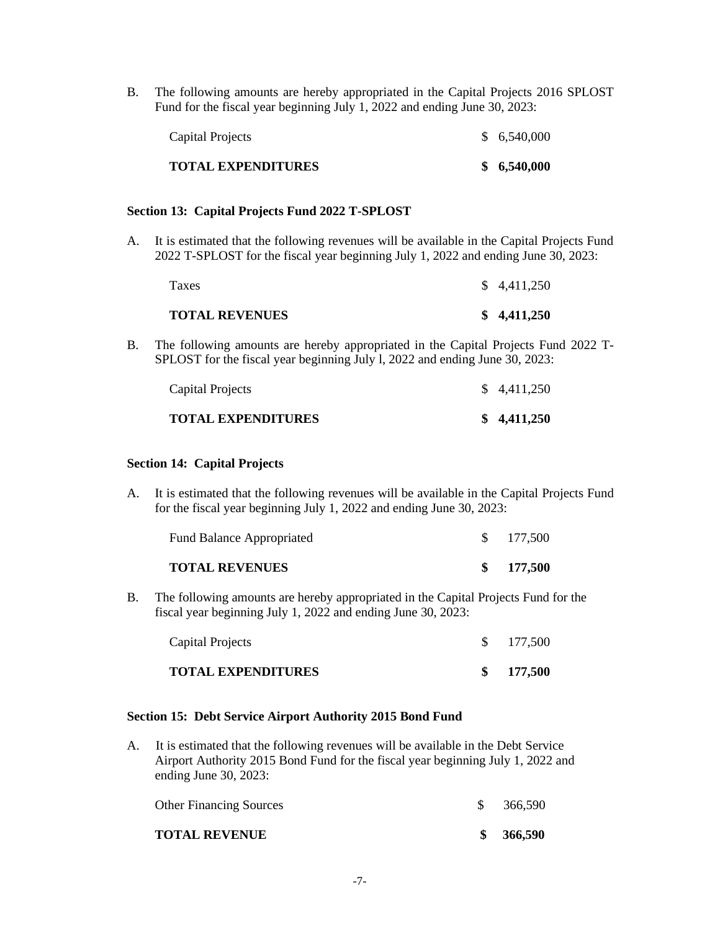B. The following amounts are hereby appropriated in the Capital Projects 2016 SPLOST Fund for the fiscal year beginning July 1, 2022 and ending June 30, 2023:

| TOTAL EXPENDITURES | \$6,540,000 |
|--------------------|-------------|
| Capital Projects   | \$6,540,000 |

#### **Section 13: Capital Projects Fund 2022 T-SPLOST**

A. It is estimated that the following revenues will be available in the Capital Projects Fund 2022 T-SPLOST for the fiscal year beginning July 1, 2022 and ending June 30, 2023:

| <b>TOTAL REVENUES</b> | \$4,411,250 |
|-----------------------|-------------|
| Taxes                 | \$4,411,250 |

B. The following amounts are hereby appropriated in the Capital Projects Fund 2022 T-SPLOST for the fiscal year beginning July l, 2022 and ending June 30, 2023:

| <b>TOTAL EXPENDITURES</b> | \$4,411,250 |
|---------------------------|-------------|
| Capital Projects          | \$4,411,250 |

## **Section 14: Capital Projects**

A. It is estimated that the following revenues will be available in the Capital Projects Fund for the fiscal year beginning July 1, 2022 and ending June 30, 2023:

B. The following amounts are hereby appropriated in the Capital Projects Fund for the fiscal year beginning July 1, 2022 and ending June 30, 2023:

| Capital Projects          | $\frac{\$}{177,500}$ |
|---------------------------|----------------------|
| <b>TOTAL EXPENDITURES</b> | \$177,500            |

## **Section 15: Debt Service Airport Authority 2015 Bond Fund**

A. It is estimated that the following revenues will be available in the Debt Service Airport Authority 2015 Bond Fund for the fiscal year beginning July 1, 2022 and ending June 30, 2023:

| <b>TOTAL REVENUE</b>           | 366,590 |
|--------------------------------|---------|
| <b>Other Financing Sources</b> | 366,590 |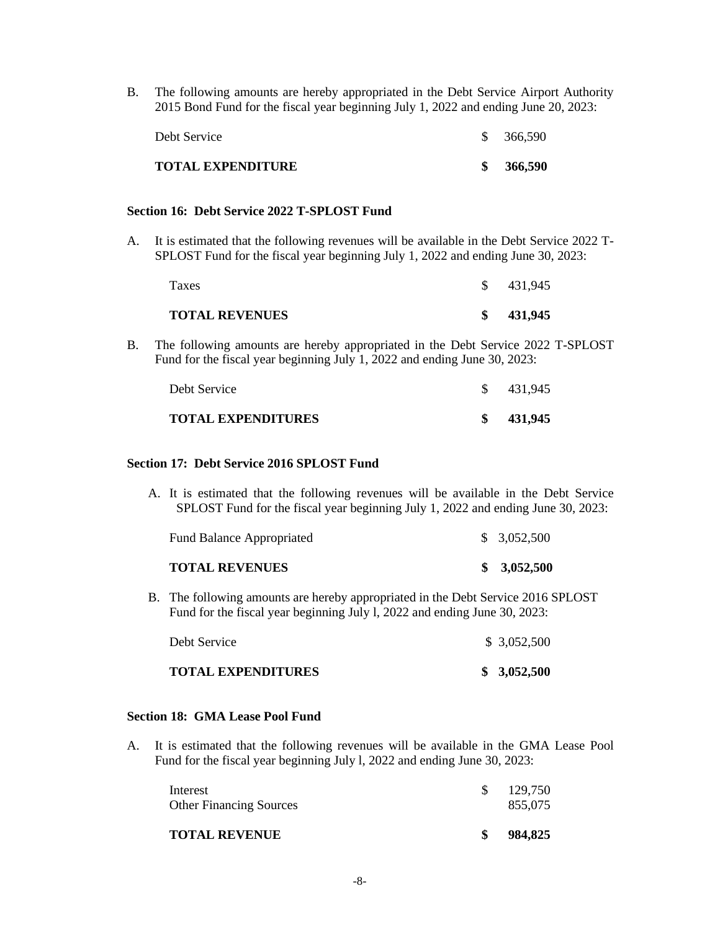B. The following amounts are hereby appropriated in the Debt Service Airport Authority 2015 Bond Fund for the fiscal year beginning July 1, 2022 and ending June 20, 2023:

| TOTAL EXPENDITURE | 366,590 |
|-------------------|---------|
| Debt Service      | 366,590 |

#### **Section 16: Debt Service 2022 T-SPLOST Fund**

A. It is estimated that the following revenues will be available in the Debt Service 2022 T-SPLOST Fund for the fiscal year beginning July 1, 2022 and ending June 30, 2023:

| Taxes                 | 431,945 |  |
|-----------------------|---------|--|
| <b>TOTAL REVENUES</b> | 431,945 |  |

B. The following amounts are hereby appropriated in the Debt Service 2022 T-SPLOST Fund for the fiscal year beginning July 1, 2022 and ending June 30, 2023:

| Debt Service              | 431.945 |
|---------------------------|---------|
| <b>TOTAL EXPENDITURES</b> | 431,945 |

#### **Section 17: Debt Service 2016 SPLOST Fund**

A. It is estimated that the following revenues will be available in the Debt Service SPLOST Fund for the fiscal year beginning July 1, 2022 and ending June 30, 2023:

| \$3,052,500<br><b>Fund Balance Appropriated</b> |
|-------------------------------------------------|
|                                                 |

B. The following amounts are hereby appropriated in the Debt Service 2016 SPLOST Fund for the fiscal year beginning July l, 2022 and ending June 30, 2023:

| Debt Service              | \$3,052,500 |
|---------------------------|-------------|
| <b>TOTAL EXPENDITURES</b> | \$3,052,500 |

## **Section 18: GMA Lease Pool Fund**

A. It is estimated that the following revenues will be available in the GMA Lease Pool Fund for the fiscal year beginning July l, 2022 and ending June 30, 2023:

| 129.750<br>Interest<br>855.075<br><b>Other Financing Sources</b> | <b>TOTAL REVENUE</b> | 984,825 |
|------------------------------------------------------------------|----------------------|---------|
|                                                                  |                      |         |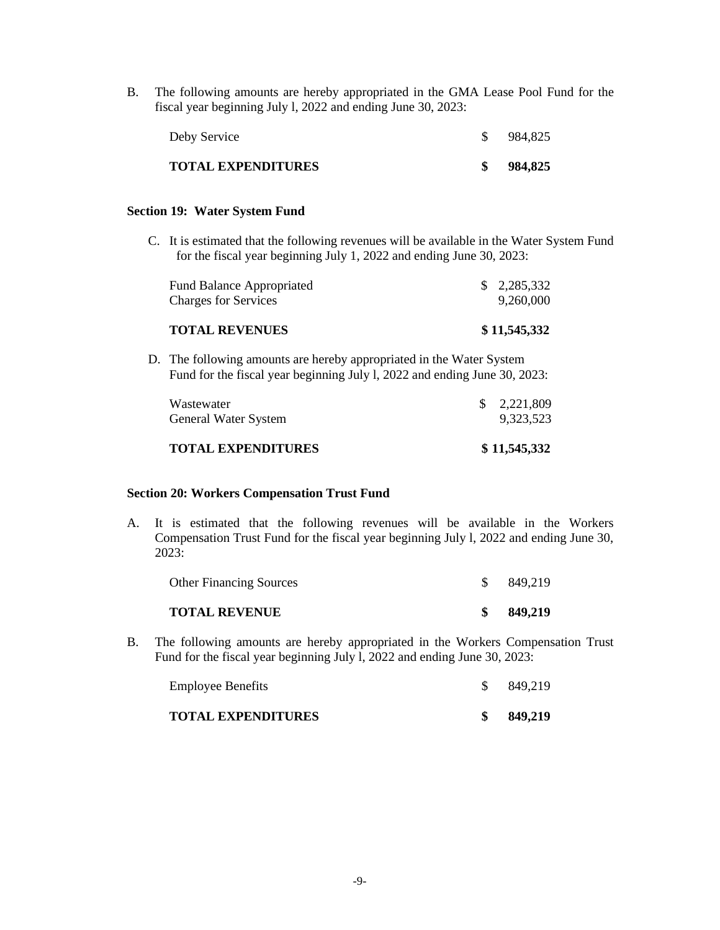B. The following amounts are hereby appropriated in the GMA Lease Pool Fund for the fiscal year beginning July l, 2022 and ending June 30, 2023:

| Deby Service       | 984,825 |
|--------------------|---------|
| TOTAL EXPENDITURES | 984,825 |

## **Section 19: Water System Fund**

C. It is estimated that the following revenues will be available in the Water System Fund for the fiscal year beginning July 1, 2022 and ending June 30, 2023:

| <b>TOTAL REVENUES</b>            | \$11,545,332 |
|----------------------------------|--------------|
| <b>Charges for Services</b>      | 9.260.000    |
| <b>Fund Balance Appropriated</b> | \$2,285,332  |

D. The following amounts are hereby appropriated in the Water System Fund for the fiscal year beginning July l, 2022 and ending June 30, 2023:

| \$11,545,332                |
|-----------------------------|
| 9,323,523                   |
| $\frac{1}{2}$ , 2, 221, 809 |
|                             |

## **Section 20: Workers Compensation Trust Fund**

A. It is estimated that the following revenues will be available in the Workers Compensation Trust Fund for the fiscal year beginning July l, 2022 and ending June 30, 2023:

| <b>TOTAL REVENUE</b>           | 849,219 |
|--------------------------------|---------|
| <b>Other Financing Sources</b> | 849,219 |

B. The following amounts are hereby appropriated in the Workers Compensation Trust Fund for the fiscal year beginning July l, 2022 and ending June 30, 2023:

| <b>TOTAL EXPENDITURES</b> | 849,219 |
|---------------------------|---------|
| <b>Employee Benefits</b>  | 849,219 |